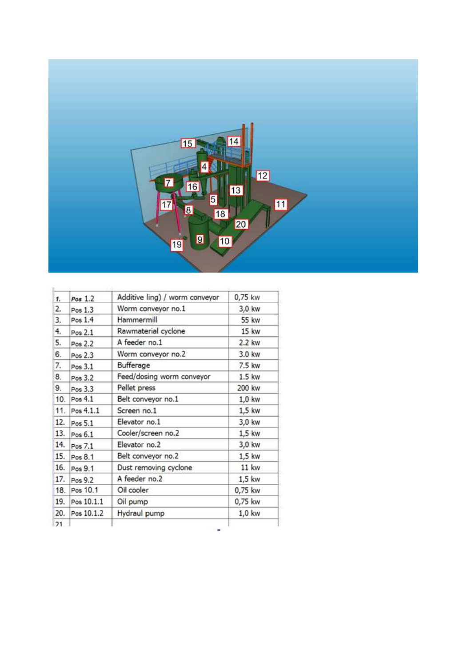

| 1.  | Pos 1.2    | Additive ling) / worm conveyor | 0,75 kw  |
|-----|------------|--------------------------------|----------|
| 2.  | Pos 1.3    | Worm conveyor no.1             | 3,0 kw   |
| 3.  | Pos 1.4    | Hammermill                     | 55 kw    |
| 4.  | Pos 2.1    | Rawmaterial cyclone            | 15 kw    |
| 5.  | Pos 2.2    | A feeder no.1                  | 2.2 kw   |
| 6.  | Pos 2.3    | Worm conveyor no.2             | 3.0 kw   |
| 7.  | Pos 3.1    | Bufferage                      | 7.5 kw   |
| 8.  | Pos 3.2    | Feed/dosing worm conveyor      | 1.5 kw   |
| 9.  | Pos 3.3    | Pellet press                   | 200 kw   |
| 10. | Pos 4.1    | Belt conveyor no.1             | 1,0 kw   |
| 11. | Pos 4.1.1  | Screen no.1                    | 1,5 kw   |
| 12. | Pos 5.1    | Elevator no.1                  | 3,0 kw   |
| 13. | Pos 6.1    | Cooler/screen no.2             | 1,5 kw   |
| 14. | Pos 7.1    | Elevator no.2                  | 3,0 kw   |
| 15. | Pos 8.1    | Belt conveyor no.2             | $1,5$ kw |
| 16. | Pos 9.1    | Dust removing cyclone          | 11 kw    |
| 17. | Pos 9.2    | A feeder no.2                  | $1,5$ kw |
| 18. | Pos 10.1   | Oil cooler                     | 0,75 kw  |
| 19. | Pos 10.1.1 | Oil pump                       | 0,75 kw  |
| 20. | Pos 10.1.2 | Hydraul pump                   | 1,0 kw   |
| 21  |            |                                |          |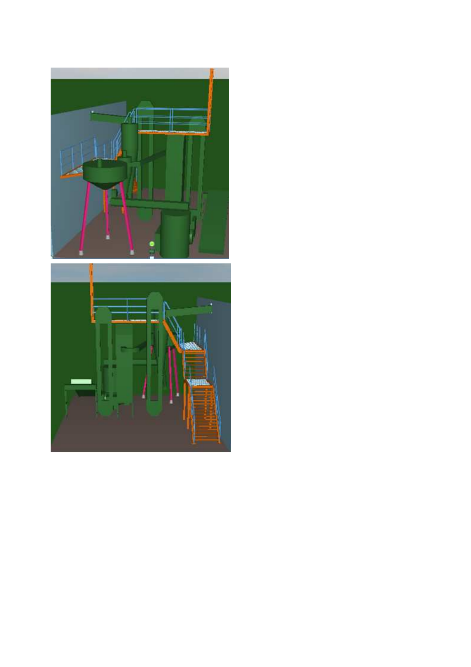

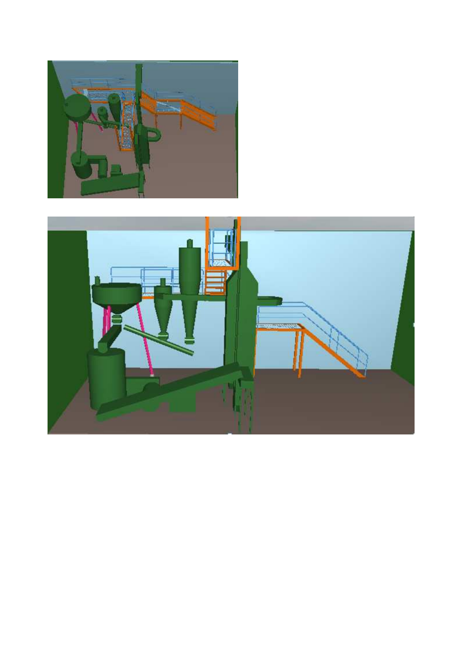

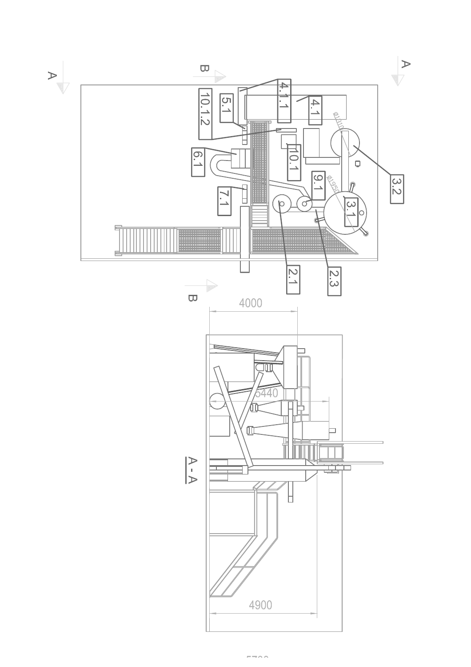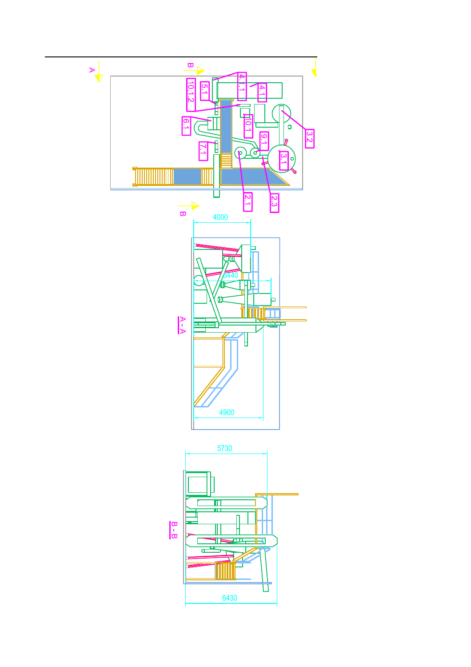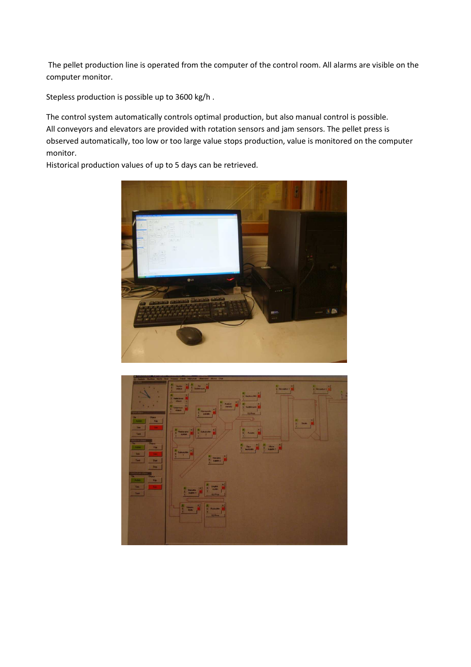The pellet production line is operated from the computer of the control room. All alarms are visible on the computer monitor.

Stepless production is possible up to 3600 kg/h .

The control system automatically controls optimal production, but also manual control is possible. All conveyors and elevators are provided with rotation sensors and jam sensors. The pellet press is observed automatically, too low or too large value stops production, value is monitored on the computer monitor.

Historical production values of up to 5 days can be retrieved.



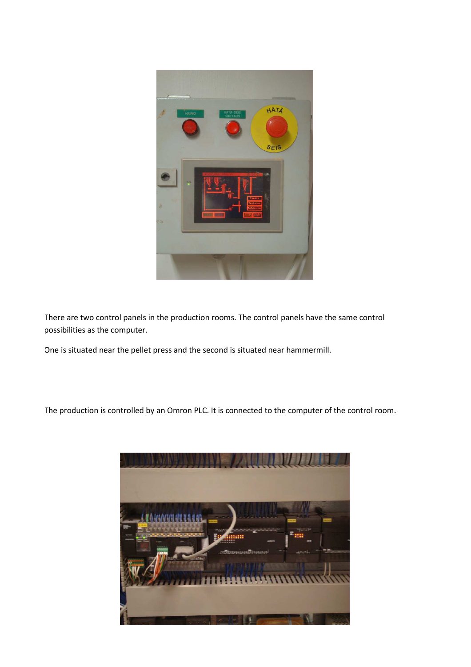

There are two control panels in the production rooms. The control panels have the same control possibilities as the computer.

One is situated near the pellet press and the second is situated near hammermill.

The production is controlled by an Omron PLC. It is connected to the computer of the control room.

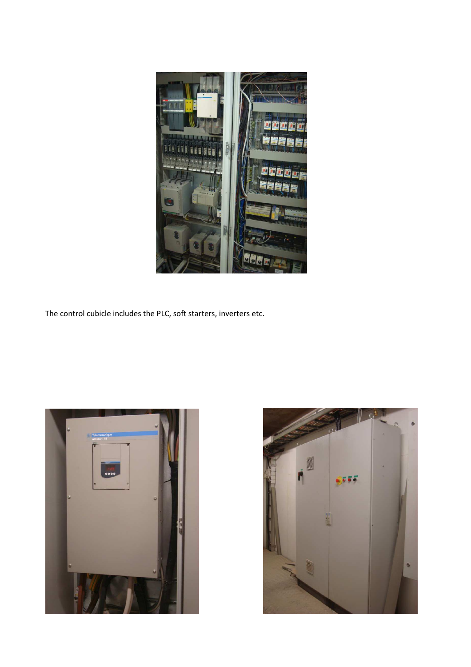

The control cubicle includes the PLC, soft starters, inverters etc.